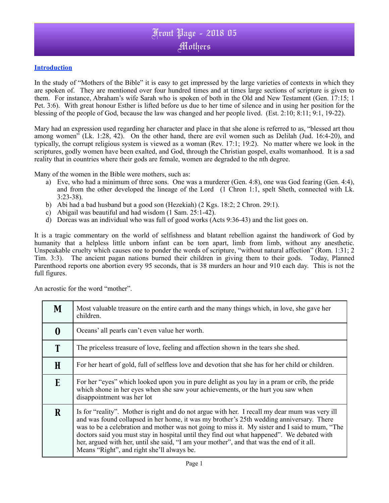## Front Page - 2018 05 Mothers

#### **Introduction**

In the study of "Mothers of the Bible" it is easy to get impressed by the large varieties of contexts in which they are spoken of. They are mentioned over four hundred times and at times large sections of scripture is given to them. For instance, Abraham's wife Sarah who is spoken of both in the Old and New Testament (Gen. 17:15; 1 Pet. 3:6). With great honour Esther is lifted before us due to her time of silence and in using her position for the blessing of the people of God, because the law was changed and her people lived. (Est. 2:10; 8:11; 9:1, 19-22).

Mary had an expression used regarding her character and place in that she alone is referred to as, "blessed art thou among women" (Lk. 1:28, 42). On the other hand, there are evil women such as Delilah (Jud. 16:4-20), and typically, the corrupt religious system is viewed as a woman (Rev. 17:1; 19:2). No matter where we look in the scriptures, godly women have been exalted, and God, through the Christian gospel, exalts womanhood. It is a sad reality that in countries where their gods are female, women are degraded to the nth degree.

Many of the women in the Bible were mothers, such as:

- a) Eve, who had a minimum of three sons. One was a murderer (Gen. 4:8), one was God fearing (Gen. 4:4), and from the other developed the lineage of the Lord (1 Chron 1:1, spelt Sheth, connected with Lk. 3:23-38).
- b) Abi had a bad husband but a good son (Hezekiah) (2 Kgs. 18:2; 2 Chron. 29:1).
- c) Abigail was beautiful and had wisdom (1 Sam. 25:1-42).
- d) Dorcas was an individual who was full of good works (Acts 9:36-43) and the list goes on.

It is a tragic commentary on the world of selfishness and blatant rebellion against the handiwork of God by humanity that a helpless little unborn infant can be torn apart, limb from limb, without any anesthetic. Unspeakable cruelty which causes one to ponder the words of scripture, "without natural affection" (Rom. 1:31; 2 Tim. 3:3). The ancient pagan nations burned their children in giving them to their gods. Today, Planned Parenthood reports one abortion every 95 seconds, that is 38 murders an hour and 910 each day. This is not the full figures.

An acrostic for the word "mother".

| M | Most valuable treasure on the entire earth and the many things which, in love, she gave her<br>children.                                                                                                                                                                                                                                                                                                                                                                                                                              |
|---|---------------------------------------------------------------------------------------------------------------------------------------------------------------------------------------------------------------------------------------------------------------------------------------------------------------------------------------------------------------------------------------------------------------------------------------------------------------------------------------------------------------------------------------|
|   | Oceans' all pearls can't even value her worth.                                                                                                                                                                                                                                                                                                                                                                                                                                                                                        |
|   | The priceless treasure of love, feeling and affection shown in the tears she shed.                                                                                                                                                                                                                                                                                                                                                                                                                                                    |
| H | For her heart of gold, full of selfless love and devotion that she has for her child or children.                                                                                                                                                                                                                                                                                                                                                                                                                                     |
| E | For her "eyes" which looked upon you in pure delight as you lay in a pram or crib, the pride<br>which shone in her eyes when she saw your achievements, or the hurt you saw when<br>disappointment was her lot                                                                                                                                                                                                                                                                                                                        |
| R | Is for "reality". Mother is right and do not argue with her. I recall my dear mum was very ill<br>and was found collapsed in her home, it was my brother's 25th wedding anniversary. There<br>was to be a celebration and mother was not going to miss it. My sister and I said to mum, "The<br>doctors said you must stay in hospital until they find out what happened". We debated with<br>her, argued with her, until she said, "I am your mother", and that was the end of it all.<br>Means "Right", and right she'll always be. |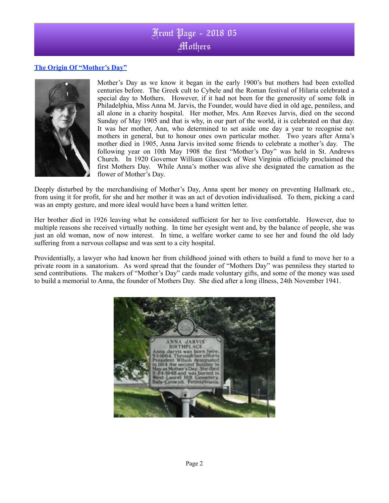# Front Page - 2018 05 **Mothers**

### **The Origin Of "Mother's Day"**



Mother's Day as we know it began in the early 1900's but mothers had been extolled centuries before. The Greek cult to Cybele and the Roman festival of Hilaria celebrated a special day to Mothers. However, if it had not been for the generosity of some folk in Philadelphia, Miss Anna M. Jarvis, the Founder, would have died in old age, penniless, and all alone in a charity hospital. Her mother, Mrs. Ann Reeves Jarvis, died on the second Sunday of May 1905 and that is why, in our part of the world, it is celebrated on that day. It was her mother, Ann, who determined to set aside one day a year to recognise not mothers in general, but to honour ones own particular mother. Two years after Anna's mother died in 1905, Anna Jarvis invited some friends to celebrate a mother's day. The following year on 10th May 1908 the first "Mother's Day" was held in St. Andrews Church. In 1920 Governor William Glascock of West Virginia officially proclaimed the first Mothers Day. While Anna's mother was alive she designated the carnation as the flower of Mother's Day.

Deeply disturbed by the merchandising of Mother's Day, Anna spent her money on preventing Hallmark etc., from using it for profit, for she and her mother it was an act of devotion individualised. To them, picking a card was an empty gesture, and more ideal would have been a hand written letter.

Her brother died in 1926 leaving what he considered sufficient for her to live comfortable. However, due to multiple reasons she received virtually nothing. In time her eyesight went and, by the balance of people, she was just an old woman, now of now interest. In time, a welfare worker came to see her and found the old lady suffering from a nervous collapse and was sent to a city hospital.

Providentially, a lawyer who had known her from childhood joined with others to build a fund to move her to a private room in a sanatorium. As word spread that the founder of "Mothers Day" was penniless they started to send contributions. The makers of "Mother's Day" cards made voluntary gifts, and some of the money was used to build a memorial to Anna, the founder of Mothers Day. She died after a long illness, 24th November 1941.